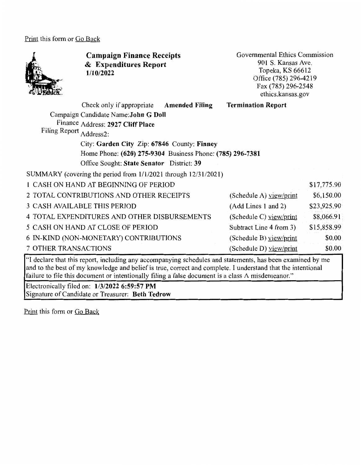Print this form or Go Back



**Campaign Finance Receipts**  & **Expenditures Report 1/10/2022** 

Governmental Ethics Commission 901 S. Kansas Ave. Topeka, KS 66612 Office (785) 296-4219 Fax (785) 296-2548 ethics.kansas.gov

| Check only if appropriate Amended Filing                       | <b>Termination Report</b> |             |
|----------------------------------------------------------------|---------------------------|-------------|
| Campaign Candidate Name: John G Doll                           |                           |             |
| Finance Address: 2927 Cliff Place                              |                           |             |
| Filing Report Address2:                                        |                           |             |
| City: Garden City Zip: 67846 County: Finney                    |                           |             |
| Home Phone: (620) 275-9304 Business Phone: (785) 296-7381      |                           |             |
| Office Sought: State Senator District: 39                      |                           |             |
| SUMMARY (covering the period from 1/1/2021 through 12/31/2021) |                           |             |
| 1 CASH ON HAND AT BEGINNING OF PERIOD                          |                           | \$17,775.90 |
| 2 TOTAL CONTRIBUTIONS AND OTHER RECEIPTS                       | (Schedule A) yiew/print   | \$6,150.00  |
| <b>3 CASH AVAILABLE THIS PERIOD</b>                            | (Add Lines 1 and 2)       | \$23,925.90 |
| 4 TOTAL EXPENDITURES AND OTHER DISBURSEMENTS                   | (Schedule C) view/print   | \$8,066.91  |
| 5 CASH ON HAND AT CLOSE OF PERIOD                              | Subtract Line 4 from 3)   | \$15,858.99 |
| 6 IN-KIND (NON-MONETARY) CONTRIBUTIONS                         | (Schedule B) $view/print$ | \$0.00      |
| <b>7 OTHER TRANSACTIONS</b>                                    | (Schedule D) view/print   | \$0.00      |

"I declare that this report, including any accompanying schedules and statements, has been examined by me and to the best of my knowledge and belief is true, correct and complete. I understand that the intentional failure to file this document or intentionally filing a false document is a class A misdemeanor."

Electronically filed on: **1/3/2022 6:59:57 PM**  Signature of Candidate or Treasurer: **Beth Tedrow** 

Print this form or Go Back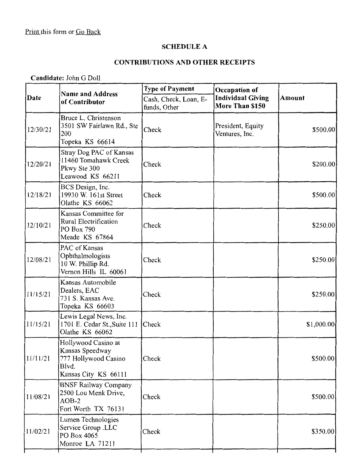## SCHEDULE A

# CONTRIBUTIONS AND OTHER RECEIPTS

Candidate: John G Doll

|          | <b>Name and Address</b><br>of Contributor                                                       | <b>Type of Payment</b><br>Occupation of |                                             |             |  |
|----------|-------------------------------------------------------------------------------------------------|-----------------------------------------|---------------------------------------------|-------------|--|
| Date     |                                                                                                 | Cash, Check, Loan, E-<br>funds, Other   | <b>Individual Giving</b><br>More Than \$150 | Amount      |  |
| 12/30/21 | Bruce L. Christenson<br>3501 SW Fairlawn Rd., Ste<br>200<br>Topeka KS 66614                     | Check                                   | President, Equity<br>Ventures, Inc.         | \$500.00    |  |
| 12/20/21 | Stray Dog PAC of Kansas<br>11460 Tomahawk Creek<br>Pkwy Ste 300<br>Leawood KS 66211             | Check                                   |                                             | \$200.00    |  |
| 12/18/21 | BCS Design, Inc.<br>19930 W. 161st Street<br>Olathe KS 66062                                    | Check                                   |                                             | \$500.00    |  |
| 12/10/21 | Kansas Committee for<br><b>Rural Electrification</b><br>PO Box 790<br>Meade KS 67864            | Check                                   |                                             | \$250.00    |  |
| 12/08/21 | PAC of Kansas<br>Ophthalmologists<br>10 W. Phillip Rd.<br>Vernon Hills IL 60061                 | Check                                   |                                             | \$250.00    |  |
| 11/15/21 | Kansas Automobile<br>Dealers, EAC<br>731 S. Kansas Ave.<br>Topeka KS 66603                      | Check                                   |                                             | \$250.00    |  |
| 11/15/21 | Lewis Legal News, Inc.<br>1701 E. Cedar St., Suite 111<br>Olathe KS 66062                       | Check                                   |                                             | \$1,000.00] |  |
| 11/11/21 | Hollywood Casino at<br>Kansas Speedway<br>777 Hollywood Casino<br>Blvd.<br>Kansas City KS 66111 | Check                                   |                                             | \$500.00    |  |
| 11/08/21 | <b>BNSF Railway Company</b><br>2500 Lou Menk Drive,<br>$AOB-2$<br>Fort Worth TX 76131           | Check                                   |                                             | \$500.00    |  |
| 11/02/21 | Lumen Technologies<br>Service Group .LLC<br>PO Box 4065<br>Monroe LA 71211                      | Check                                   |                                             | \$350.00    |  |
|          |                                                                                                 |                                         |                                             |             |  |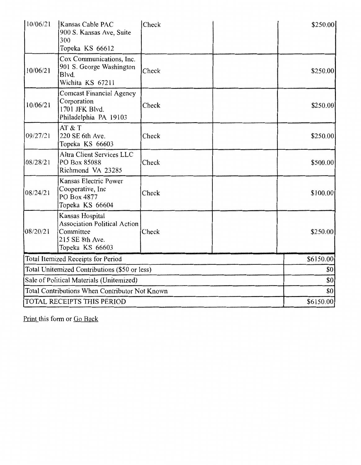| 10/06/21 | Kansas Cable PAC<br>900 S. Kansas Ave, Suite<br>300<br>Topeka KS 66612                                    | Check | \$250.00] |
|----------|-----------------------------------------------------------------------------------------------------------|-------|-----------|
| 10/06/21 | Cox Communications, Inc.<br>901 S. George Washington<br>Blvd.<br>Wichita KS 67211                         | Check | \$250.00  |
| 10/06/21 | <b>Comcast Financial Agency</b><br>Corporation<br>1701 JFK Blvd.<br>Philadelphia PA 19103                 | Check | \$250.00  |
| 09/27/21 | AT & T<br>220 SE 6th Ave.<br>Topeka KS 66603                                                              | Check | \$250.00  |
| 08/28/21 | Altra Client Services LLC<br>PO Box 85088<br>Richmond VA 23285                                            | Check | \$500.00  |
| 08/24/21 | Kansas Electric Power<br>Cooperative, Inc<br>PO Box 4877<br>Topeka KS 66604                               | Check | \$100.00  |
| 08/20/21 | Kansas Hospital<br><b>Association Political Action</b><br>Committee<br>215 SE 8th Ave.<br>Topeka KS 66603 | Check | \$250.00  |
|          | Total Itemized Receipts for Period                                                                        |       | \$6150.00 |
|          | Total Unitemized Contributions (\$50 or less)                                                             |       | \$0       |
|          | Sale of Political Materials (Unitemized)                                                                  |       | \$0       |
|          | Total Contributions When Contributor Not Known                                                            |       | \$0       |
|          | TOTAL RECEIPTS THIS PERIOD                                                                                |       | \$6150.00 |

Print this form or Go Back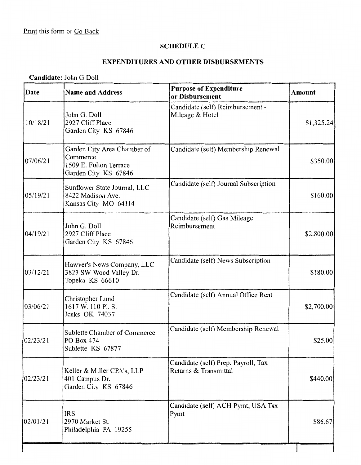#### **SCHEDULE C**

## **EXPENDITURES AND OTHER DISBURSEMENTS**

# **Candidate:** John G Doll

| Date     | <b>Name and Address</b>                                                                   | <b>Purpose of Expenditure</b><br>or Disbursement             | <b>Amount</b> |
|----------|-------------------------------------------------------------------------------------------|--------------------------------------------------------------|---------------|
| 10/18/21 | John G. Doll<br>2927 Cliff Place<br>Garden City KS 67846                                  | Candidate (self) Reimbursement -<br>Mileage & Hotel          | \$1,325.24    |
| 07/06/21 | Garden City Area Chamber of<br>Commerce<br>1509 E. Fulton Terrace<br>Garden City KS 67846 | Candidate (self) Membership Renewal                          | \$350.00      |
| 05/19/21 | Sunflower State Journal, LLC<br>8422 Madison Ave.<br>Kansas City MO 64114                 | Candidate (self) Journal Subscription                        | \$160.00      |
| 04/19/21 | John G. Doll<br>2927 Cliff Place<br>Garden City KS 67846                                  | Candidate (self) Gas Mileage<br>Reimbursement                | \$2,800.00    |
| 03/12/21 | Hawver's News Company, LLC<br>3823 SW Wood Valley Dr.<br>Topeka KS 66610                  | Candidate (self) News Subscription                           | \$180.00      |
| 03/06/21 | Christopher Lund<br>1617 W. 110 Pl. S.<br>Jenks OK 74037                                  | Candidate (self) Annual Office Rent                          | \$2,700.00    |
| 02/23/21 | Sublette Chamber of Commerce<br>PO Box 474<br>Sublette KS 67877                           | Candidate (self) Membership Renewal                          | \$25.00       |
| 02/23/21 | Keller & Miller CPA's, LLP<br>401 Campus Dr.<br>Garden City KS 67846                      | Candidate (self) Prep. Payroll, Tax<br>Returns & Transmittal | \$440.00      |
| 02/01/21 | <b>IRS</b><br>2970 Market St.<br>Philadelphia PA 19255                                    | Candidate (self) ACH Pymt, USA Tax<br>Pymt                   | \$86.67       |
|          |                                                                                           |                                                              |               |